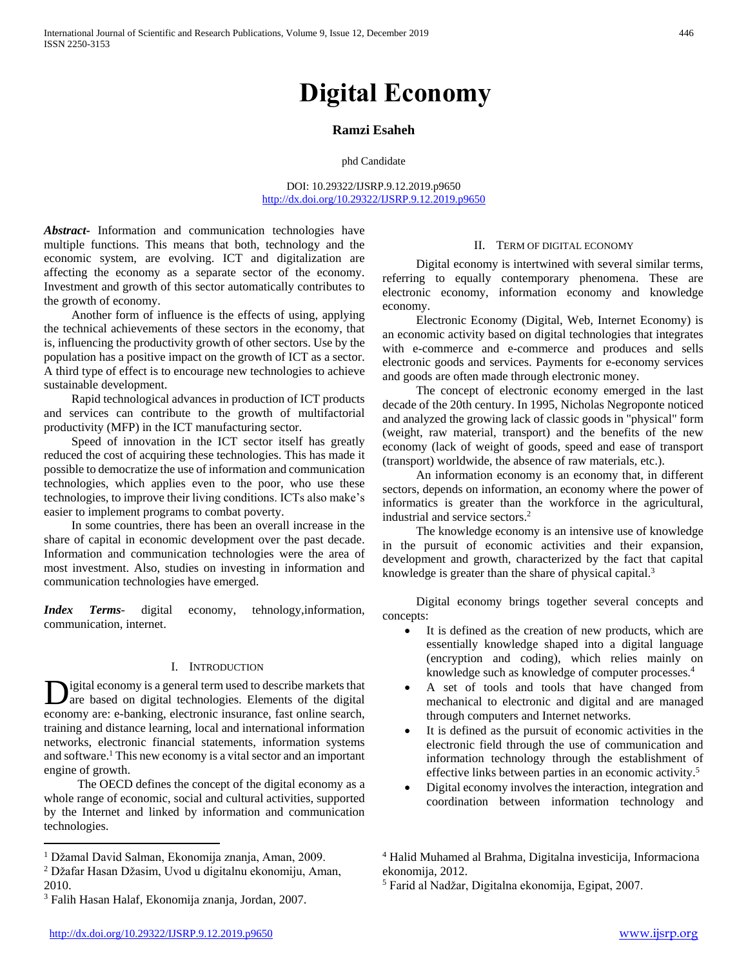# **Digital Economy**

# **Ramzi Esaheh**

phd Candidate

DOI: 10.29322/IJSRP.9.12.2019.p9650 <http://dx.doi.org/10.29322/IJSRP.9.12.2019.p9650>

*Abstract***-** Information and communication technologies have multiple functions. This means that both, technology and the economic system, are evolving. ICT and digitalization are affecting the economy as a separate sector of the economy. Investment and growth of this sector automatically contributes to the growth of economy.

 Another form of influence is the effects of using, applying the technical achievements of these sectors in the economy, that is, influencing the productivity growth of other sectors. Use by the population has a positive impact on the growth of ICT as a sector. A third type of effect is to encourage new technologies to achieve sustainable development.

 Rapid technological advances in production of ICT products and services can contribute to the growth of multifactorial productivity (MFP) in the ICT manufacturing sector.

 Speed of innovation in the ICT sector itself has greatly reduced the cost of acquiring these technologies. This has made it possible to democratize the use of information and communication technologies, which applies even to the poor, who use these technologies, to improve their living conditions. ICTs also make's easier to implement programs to combat poverty.

 In some countries, there has been an overall increase in the share of capital in economic development over the past decade. Information and communication technologies were the area of most investment. Also, studies on investing in information and communication technologies have emerged.

*Index Terms*- digital economy, tehnology,information, communication, internet.

#### I. INTRODUCTION

igital economy is a general term used to describe markets that are based on digital technologies. Elements of the digital economy are: e-banking, electronic insurance, fast online search, training and distance learning, local and international information networks, electronic financial statements, information systems and software.<sup>1</sup> This new economy is a vital sector and an important engine of growth. D

 The OECD defines the concept of the digital economy as a whole range of economic, social and cultural activities, supported by the Internet and linked by information and communication technologies.

## II. TERM OF DIGITAL ECONOMY

 Digital economy is intertwined with several similar terms, referring to equally contemporary phenomena. These are electronic economy, information economy and knowledge economy.

 Electronic Economy (Digital, Web, Internet Economy) is an economic activity based on digital technologies that integrates with e-commerce and e-commerce and produces and sells electronic goods and services. Payments for e-economy services and goods are often made through electronic money.

 The concept of electronic economy emerged in the last decade of the 20th century. In 1995, Nicholas Negroponte noticed and analyzed the growing lack of classic goods in "physical" form (weight, raw material, transport) and the benefits of the new economy (lack of weight of goods, speed and ease of transport (transport) worldwide, the absence of raw materials, etc.).

 An information economy is an economy that, in different sectors, depends on information, an economy where the power of informatics is greater than the workforce in the agricultural, industrial and service sectors.<sup>2</sup>

 The knowledge economy is an intensive use of knowledge in the pursuit of economic activities and their expansion, development and growth, characterized by the fact that capital knowledge is greater than the share of physical capital.<sup>3</sup>

 Digital economy brings together several concepts and concepts:

- It is defined as the creation of new products, which are essentially knowledge shaped into a digital language (encryption and coding), which relies mainly on knowledge such as knowledge of computer processes.<sup>4</sup>
- A set of tools and tools that have changed from mechanical to electronic and digital and are managed through computers and Internet networks.
- It is defined as the pursuit of economic activities in the electronic field through the use of communication and information technology through the establishment of effective links between parties in an economic activity.<sup>5</sup>
- Digital economy involves the interaction, integration and coordination between information technology and

 $\overline{a}$ 

<sup>1</sup> Džamal David Salman, Ekonomija znanja, Aman, 2009.

<sup>2</sup> Džafar Hasan Džasim, Uvod u digitalnu ekonomiju, Aman, 2010.

<sup>3</sup> Falih Hasan Halaf, Ekonomija znanja, Jordan, 2007.

<sup>4</sup> Halid Muhamed al Brahma, Digitalna investicija, Informaciona ekonomija, 2012.

<sup>5</sup> Farid al Nadžar, Digitalna ekonomija, Egipat, 2007.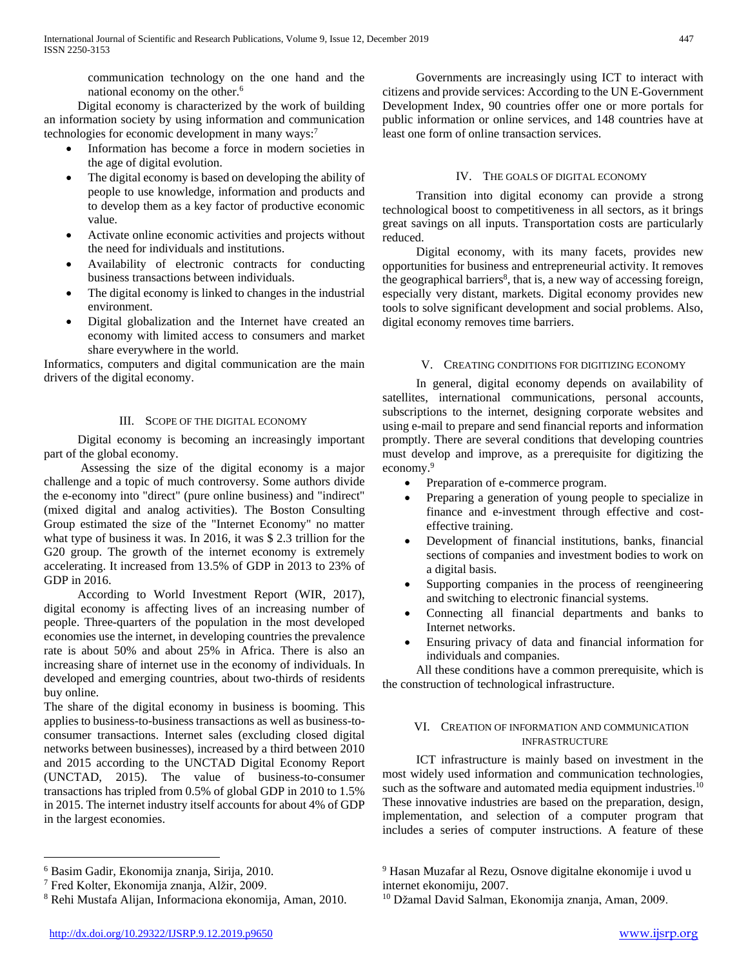communication technology on the one hand and the national economy on the other.<sup>6</sup>

 Digital economy is characterized by the work of building an information society by using information and communication technologies for economic development in many ways:<sup>7</sup>

- Information has become a force in modern societies in the age of digital evolution.
- The digital economy is based on developing the ability of people to use knowledge, information and products and to develop them as a key factor of productive economic value.
- Activate online economic activities and projects without the need for individuals and institutions.
- Availability of electronic contracts for conducting business transactions between individuals.
- The digital economy is linked to changes in the industrial environment.
- Digital globalization and the Internet have created an economy with limited access to consumers and market share everywhere in the world.

Informatics, computers and digital communication are the main drivers of the digital economy.

# III. SCOPE OF THE DIGITAL ECONOMY

 Digital economy is becoming an increasingly important part of the global economy.

 Assessing the size of the digital economy is a major challenge and a topic of much controversy. Some authors divide the e-economy into "direct" (pure online business) and "indirect" (mixed digital and analog activities). The Boston Consulting Group estimated the size of the "Internet Economy" no matter what type of business it was. In 2016, it was \$ 2.3 trillion for the G20 group. The growth of the internet economy is extremely accelerating. It increased from 13.5% of GDP in 2013 to 23% of GDP in 2016.

 According to World Investment Report (WIR, 2017), digital economy is affecting lives of an increasing number of people. Three-quarters of the population in the most developed economies use the internet, in developing countries the prevalence rate is about 50% and about 25% in Africa. There is also an increasing share of internet use in the economy of individuals. In developed and emerging countries, about two-thirds of residents buy online.

The share of the digital economy in business is booming. This applies to business-to-business transactions as well as business-toconsumer transactions. Internet sales (excluding closed digital networks between businesses), increased by a third between 2010 and 2015 according to the UNCTAD Digital Economy Report (UNCTAD, 2015). The value of business-to-consumer transactions has tripled from 0.5% of global GDP in 2010 to 1.5% in 2015. The internet industry itself accounts for about 4% of GDP in the largest economies.

 $\overline{a}$ 

 Governments are increasingly using ICT to interact with citizens and provide services: According to the UN E-Government Development Index, 90 countries offer one or more portals for public information or online services, and 148 countries have at least one form of online transaction services.

# IV. THE GOALS OF DIGITAL ECONOMY

 Transition into digital economy can provide a strong technological boost to competitiveness in all sectors, as it brings great savings on all inputs. Transportation costs are particularly reduced.

 Digital economy, with its many facets, provides new opportunities for business and entrepreneurial activity. It removes the geographical barriers<sup>8</sup>, that is, a new way of accessing foreign, especially very distant, markets. Digital economy provides new tools to solve significant development and social problems. Also, digital economy removes time barriers.

# V. CREATING CONDITIONS FOR DIGITIZING ECONOMY

 In general, digital economy depends on availability of satellites, international communications, personal accounts, subscriptions to the internet, designing corporate websites and using e-mail to prepare and send financial reports and information promptly. There are several conditions that developing countries must develop and improve, as a prerequisite for digitizing the economy.<sup>9</sup>

- Preparation of e-commerce program.
- Preparing a generation of young people to specialize in finance and e-investment through effective and costeffective training.
- Development of financial institutions, banks, financial sections of companies and investment bodies to work on a digital basis.
- Supporting companies in the process of reengineering and switching to electronic financial systems.
- Connecting all financial departments and banks to Internet networks.
- Ensuring privacy of data and financial information for individuals and companies.

 All these conditions have a common prerequisite, which is the construction of technological infrastructure.

# VI. CREATION OF INFORMATION AND COMMUNICATION INFRASTRUCTURE

 ICT infrastructure is mainly based on investment in the most widely used information and communication technologies, such as the software and automated media equipment industries.<sup>10</sup> These innovative industries are based on the preparation, design, implementation, and selection of a computer program that includes a series of computer instructions. A feature of these

<sup>6</sup> Basim Gadir, Ekonomija znanja, Sirija, 2010.

<sup>7</sup> Fred Kolter, Ekonomija znanja, Alžir, 2009.

<sup>8</sup> Rehi Mustafa Alijan, Informaciona ekonomija, Aman, 2010.

<sup>9</sup> Hasan Muzafar al Rezu, Osnove digitalne ekonomije i uvod u internet ekonomiju, 2007.

<sup>10</sup> Džamal David Salman, Ekonomija znanja, Aman, 2009.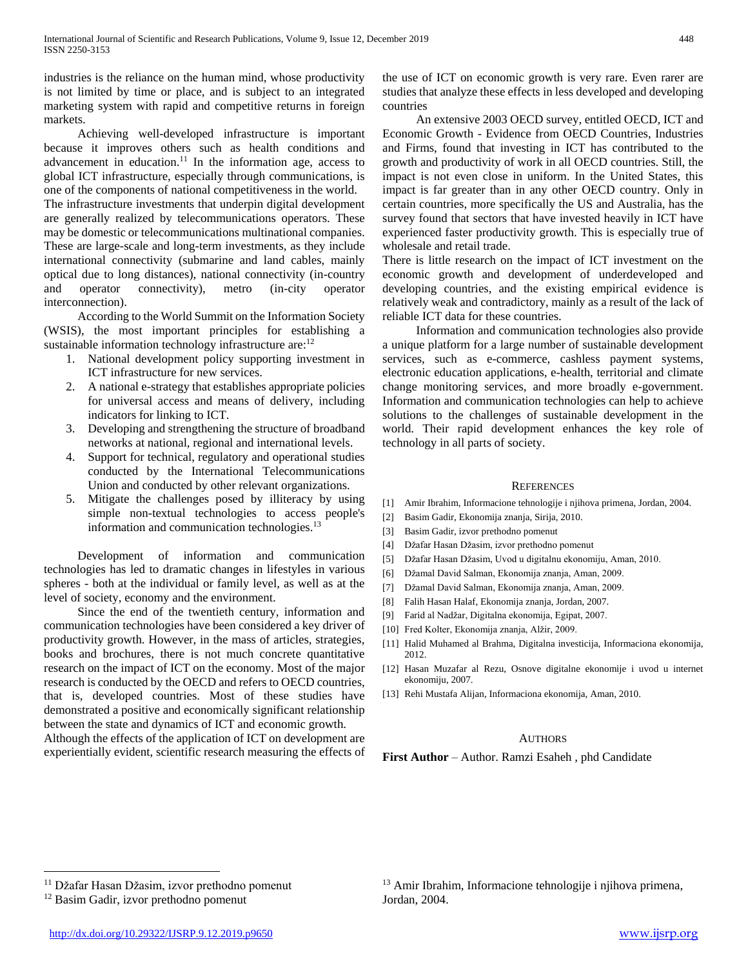industries is the reliance on the human mind, whose productivity is not limited by time or place, and is subject to an integrated marketing system with rapid and competitive returns in foreign markets.

 Achieving well-developed infrastructure is important because it improves others such as health conditions and advancement in education.<sup>11</sup> In the information age, access to global ICT infrastructure, especially through communications, is one of the components of national competitiveness in the world.

The infrastructure investments that underpin digital development are generally realized by telecommunications operators. These may be domestic or telecommunications multinational companies. These are large-scale and long-term investments, as they include international connectivity (submarine and land cables, mainly optical due to long distances), national connectivity (in-country and operator connectivity), metro (in-city operator interconnection).

 According to the World Summit on the Information Society (WSIS), the most important principles for establishing a sustainable information technology infrastructure are: $12$ 

- 1. National development policy supporting investment in ICT infrastructure for new services.
- 2. A national e-strategy that establishes appropriate policies for universal access and means of delivery, including indicators for linking to ICT.
- 3. Developing and strengthening the structure of broadband networks at national, regional and international levels.
- 4. Support for technical, regulatory and operational studies conducted by the International Telecommunications Union and conducted by other relevant organizations.
- 5. Mitigate the challenges posed by illiteracy by using simple non-textual technologies to access people's information and communication technologies.<sup>13</sup>

 Development of information and communication technologies has led to dramatic changes in lifestyles in various spheres - both at the individual or family level, as well as at the level of society, economy and the environment.

 Since the end of the twentieth century, information and communication technologies have been considered a key driver of productivity growth. However, in the mass of articles, strategies, books and brochures, there is not much concrete quantitative research on the impact of ICT on the economy. Most of the major research is conducted by the OECD and refers to OECD countries, that is, developed countries. Most of these studies have demonstrated a positive and economically significant relationship between the state and dynamics of ICT and economic growth.

Although the effects of the application of ICT on development are experientially evident, scientific research measuring the effects of the use of ICT on economic growth is very rare. Even rarer are studies that analyze these effects in less developed and developing countries

 An extensive 2003 OECD survey, entitled OECD, ICT and Economic Growth - Evidence from OECD Countries, Industries and Firms, found that investing in ICT has contributed to the growth and productivity of work in all OECD countries. Still, the impact is not even close in uniform. In the United States, this impact is far greater than in any other OECD country. Only in certain countries, more specifically the US and Australia, has the survey found that sectors that have invested heavily in ICT have experienced faster productivity growth. This is especially true of wholesale and retail trade.

There is little research on the impact of ICT investment on the economic growth and development of underdeveloped and developing countries, and the existing empirical evidence is relatively weak and contradictory, mainly as a result of the lack of reliable ICT data for these countries.

 Information and communication technologies also provide a unique platform for a large number of sustainable development services, such as e-commerce, cashless payment systems, electronic education applications, e-health, territorial and climate change monitoring services, and more broadly e-government. Information and communication technologies can help to achieve solutions to the challenges of sustainable development in the world. Their rapid development enhances the key role of technology in all parts of society.

### **REFERENCES**

- [1] Amir Ibrahim, Informacione tehnologije i njihova primena, Jordan, 2004.
- [2] Basim Gadir, Ekonomija znanja, Sirija, 2010.
- [3] Basim Gadir, izvor prethodno pomenut
- [4] Džafar Hasan Džasim, izvor prethodno pomenut
- [5] Džafar Hasan Džasim, Uvod u digitalnu ekonomiju, Aman, 2010.
- [6] Džamal David Salman, Ekonomija znanja, Aman, 2009.
- [7] Džamal David Salman, Ekonomija znanja, Aman, 2009.
- [8] Falih Hasan Halaf, Ekonomija znanja, Jordan, 2007.
- [9] Farid al Nadžar, Digitalna ekonomija, Egipat, 2007.
- [10] Fred Kolter, Ekonomija znanja, Alžir, 2009.
- [11] Halid Muhamed al Brahma, Digitalna investicija, Informaciona ekonomija, 2012.
- [12] Hasan Muzafar al Rezu, Osnove digitalne ekonomije i uvod u internet ekonomiju, 2007.
- [13] Rehi Mustafa Alijan, Informaciona ekonomija, Aman, 2010.

# AUTHORS

**First Author** – Author. Ramzi Esaheh , phd Candidate

 $\overline{a}$ 

<sup>&</sup>lt;sup>11</sup> Džafar Hasan Džasim, izvor prethodno pomenut

<sup>12</sup> Basim Gadir, izvor prethodno pomenut

<sup>13</sup> Amir Ibrahim, Informacione tehnologije i njihova primena, Jordan, 2004.